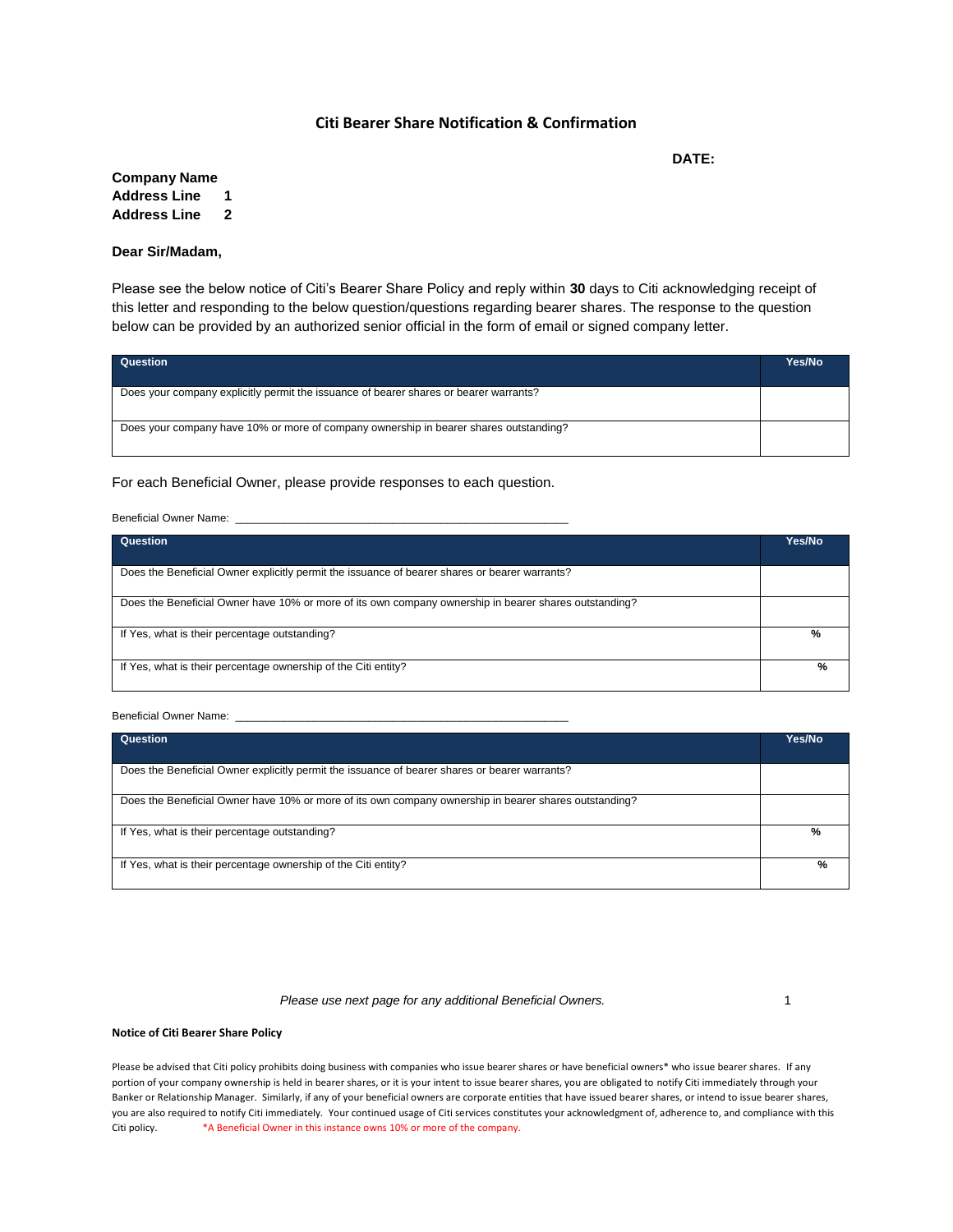# **Citi Bearer Share Notification & Confirmation**

**DATE:** 

# **Company Name Address Line 1 Address Line 2**

### **Dear Sir/Madam,**

Please see the below notice of Citi's Bearer Share Policy and reply within **30** days to Citi acknowledging receipt of this letter and responding to the below question/questions regarding bearer shares. The response to the question below can be provided by an authorized senior official in the form of email or signed company letter.

| Question                                                                              | Yes/No |
|---------------------------------------------------------------------------------------|--------|
| Does your company explicitly permit the issuance of bearer shares or bearer warrants? |        |
| Does your company have 10% or more of company ownership in bearer shares outstanding? |        |

For each Beneficial Owner, please provide responses to each question.

Beneficial Owner Name:

| Question                                                                                              | Yes/No |
|-------------------------------------------------------------------------------------------------------|--------|
| Does the Beneficial Owner explicitly permit the issuance of bearer shares or bearer warrants?         |        |
| Does the Beneficial Owner have 10% or more of its own company ownership in bearer shares outstanding? |        |
| If Yes, what is their percentage outstanding?                                                         | %      |
| If Yes, what is their percentage ownership of the Citi entity?                                        | %      |

Beneficial Owner Name: \_

| Question                                                                                              | Yes/No |
|-------------------------------------------------------------------------------------------------------|--------|
|                                                                                                       |        |
| Does the Beneficial Owner explicitly permit the issuance of bearer shares or bearer warrants?         |        |
| Does the Beneficial Owner have 10% or more of its own company ownership in bearer shares outstanding? |        |
|                                                                                                       |        |
| If Yes, what is their percentage outstanding?                                                         | %      |
| If Yes, what is their percentage ownership of the Citi entity?                                        | %      |

## Please use next page for any additional Beneficial Owners. The age of the state of the state of the state of the state of the state of the state of the state of the state of the state of the state of the state of the state

#### **Notice of Citi Bearer Share Policy**

Please be advised that Citi policy prohibits doing business with companies who issue bearer shares or have beneficial owners\* who issue bearer shares. If any portion of your company ownership is held in bearer shares, or it is your intent to issue bearer shares, you are obligated to notify Citi immediately through your Banker or Relationship Manager. Similarly, if any of your beneficial owners are corporate entities that have issued bearer shares, or intend to issue bearer shares, you are also required to notify Citi immediately. Your continued usage of Citi services constitutes your acknowledgment of, adherence to, and compliance with this Citi policy. \*\* A Beneficial Owner in this instance owns 10% or more of the company.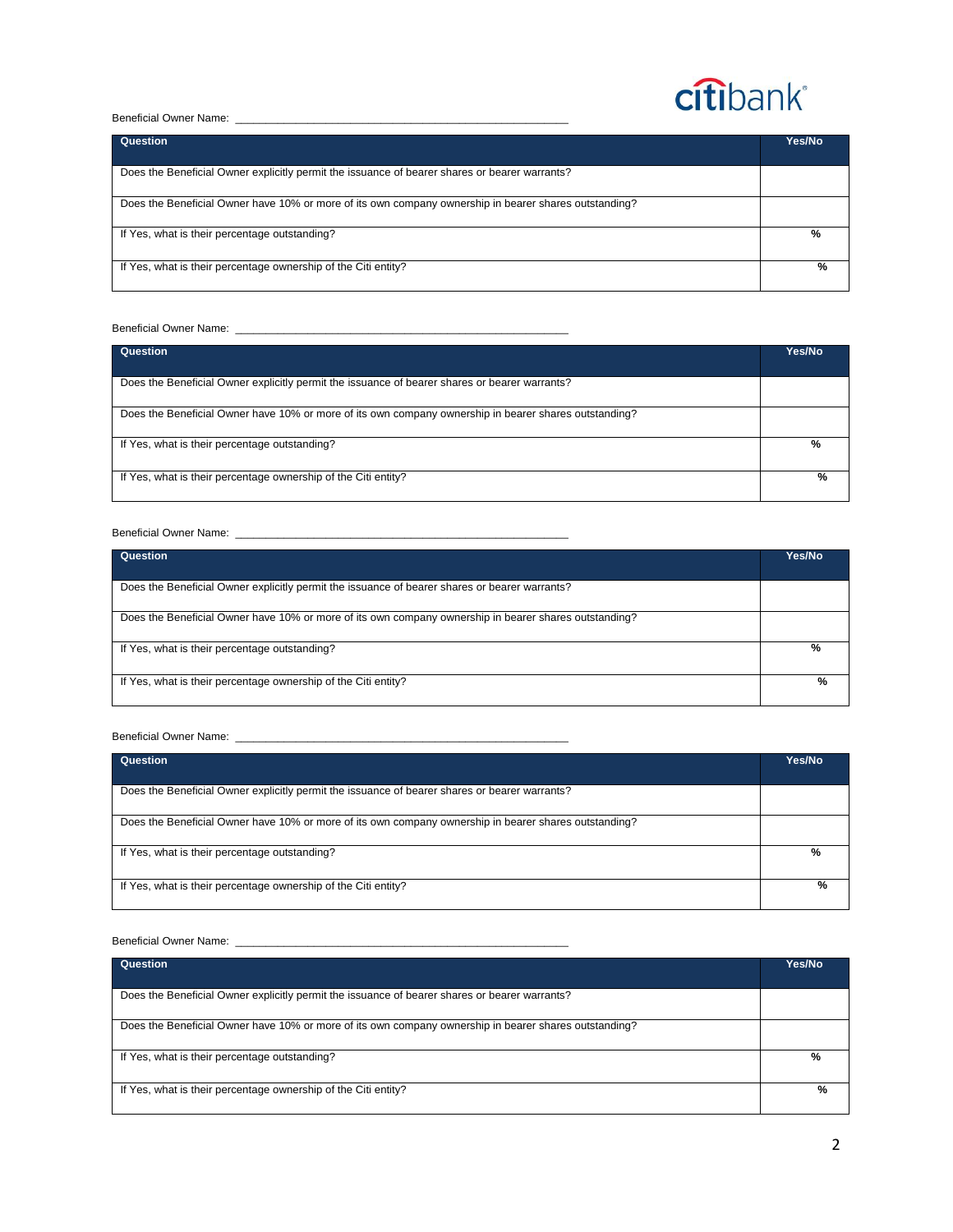# **citibank**

Beneficial Owner Name: \_\_\_\_\_\_\_\_\_\_\_\_\_\_\_\_\_\_\_\_\_\_\_\_\_\_\_\_\_\_\_\_\_\_\_\_\_\_\_\_\_\_\_\_\_\_\_\_\_\_\_\_\_\_\_

| Question                                                                                              | Yes/No |
|-------------------------------------------------------------------------------------------------------|--------|
| Does the Beneficial Owner explicitly permit the issuance of bearer shares or bearer warrants?         |        |
| Does the Beneficial Owner have 10% or more of its own company ownership in bearer shares outstanding? |        |
| If Yes, what is their percentage outstanding?                                                         | %      |
| If Yes, what is their percentage ownership of the Citi entity?                                        | %      |

#### Beneficial Owner Name: \_\_\_

| Question                                                                                              | Yes/No |
|-------------------------------------------------------------------------------------------------------|--------|
| Does the Beneficial Owner explicitly permit the issuance of bearer shares or bearer warrants?         |        |
| Does the Beneficial Owner have 10% or more of its own company ownership in bearer shares outstanding? |        |
| If Yes, what is their percentage outstanding?                                                         | %      |
| If Yes, what is their percentage ownership of the Citi entity?                                        | %      |

#### Beneficial Owner Name: \_\_\_\_\_\_\_\_\_\_\_\_\_\_\_\_\_\_\_\_\_\_\_\_\_\_\_\_\_\_\_\_\_\_\_\_\_\_\_\_\_\_\_\_\_\_\_\_\_\_\_\_\_\_\_

| Question                                                                                              | Yes/No |
|-------------------------------------------------------------------------------------------------------|--------|
|                                                                                                       |        |
| Does the Beneficial Owner explicitly permit the issuance of bearer shares or bearer warrants?         |        |
|                                                                                                       |        |
| Does the Beneficial Owner have 10% or more of its own company ownership in bearer shares outstanding? |        |
| If Yes, what is their percentage outstanding?                                                         | %      |
| If Yes, what is their percentage ownership of the Citi entity?                                        | %      |

# Beneficial Owner Name: \_\_\_

| Question                                                                                              | Yes/No |
|-------------------------------------------------------------------------------------------------------|--------|
|                                                                                                       |        |
| Does the Beneficial Owner explicitly permit the issuance of bearer shares or bearer warrants?         |        |
|                                                                                                       |        |
| Does the Beneficial Owner have 10% or more of its own company ownership in bearer shares outstanding? |        |
| If Yes, what is their percentage outstanding?                                                         | %      |
| If Yes, what is their percentage ownership of the Citi entity?                                        | %      |

# Beneficial Owner Name: \_\_\_\_\_\_\_\_\_\_\_\_\_\_\_\_\_\_\_\_\_\_\_\_\_\_\_\_\_\_\_\_\_\_\_\_\_\_\_\_\_\_\_\_\_\_\_\_\_\_\_\_\_\_\_

| Question                                                                                              | Yes/No        |
|-------------------------------------------------------------------------------------------------------|---------------|
| Does the Beneficial Owner explicitly permit the issuance of bearer shares or bearer warrants?         |               |
| Does the Beneficial Owner have 10% or more of its own company ownership in bearer shares outstanding? |               |
| If Yes, what is their percentage outstanding?                                                         | $\frac{0}{0}$ |
| If Yes, what is their percentage ownership of the Citi entity?                                        | %             |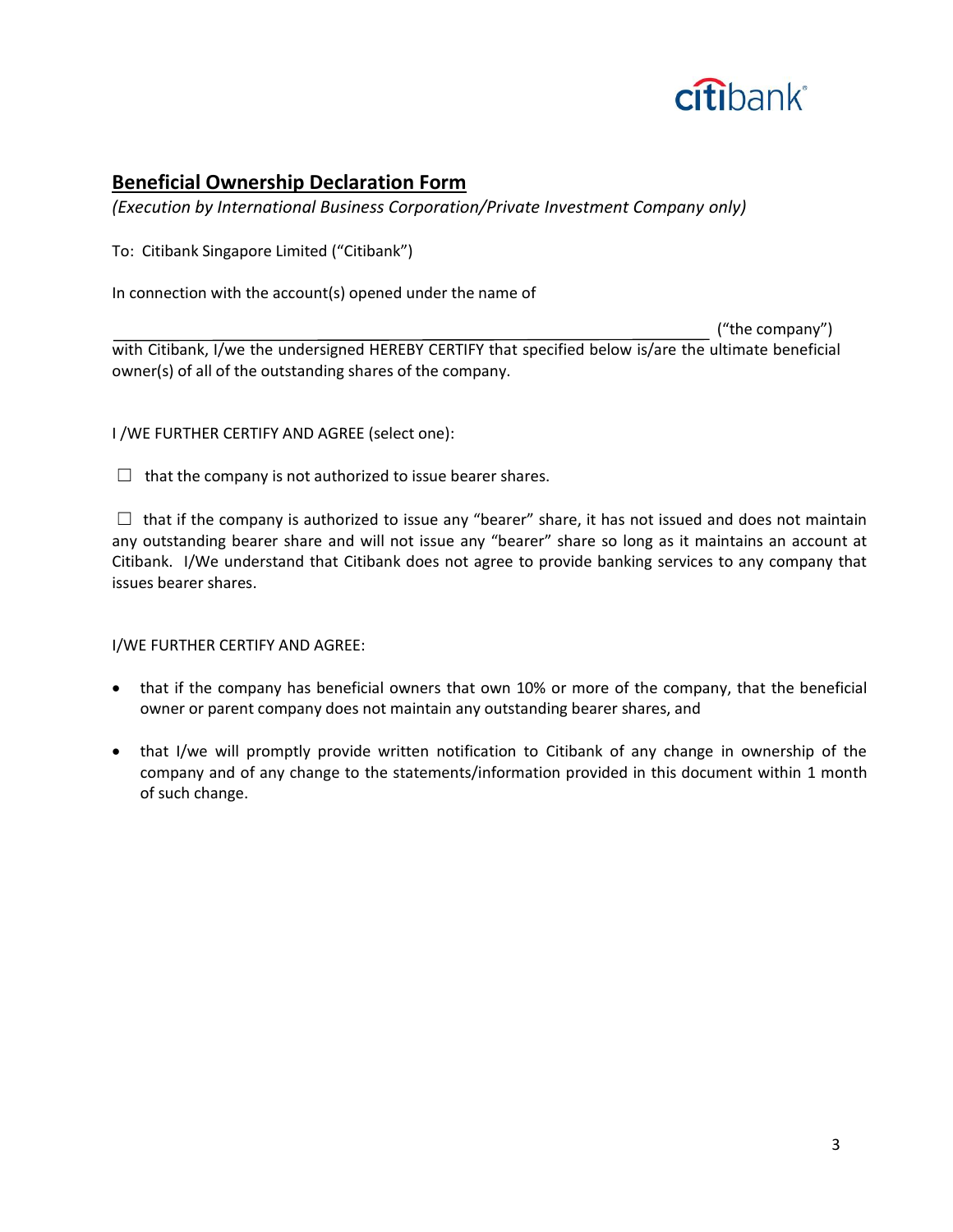

# **Beneficial Ownership Declaration Form**

*(Execution by International Business Corporation/Private Investment Company only)*

To: Citibank Singapore Limited ("Citibank")

In connection with the account(s) opened under the name of

 ("the company") with Citibank, I/we the undersigned HEREBY CERTIFY that specified below is/are the ultimate beneficial owner(s) of all of the outstanding shares of the company.

I /WE FURTHER CERTIFY AND AGREE (select one):

 $\Box$  that the company is not authorized to issue bearer shares.

 $\Box$  that if the company is authorized to issue any "bearer" share, it has not issued and does not maintain any outstanding bearer share and will not issue any "bearer" share so long as it maintains an account at Citibank. I/We understand that Citibank does not agree to provide banking services to any company that issues bearer shares.

# I/WE FURTHER CERTIFY AND AGREE:

- that if the company has beneficial owners that own 10% or more of the company, that the beneficial owner or parent company does not maintain any outstanding bearer shares, and
- that I/we will promptly provide written notification to Citibank of any change in ownership of the company and of any change to the statements/information provided in this document within 1 month of such change.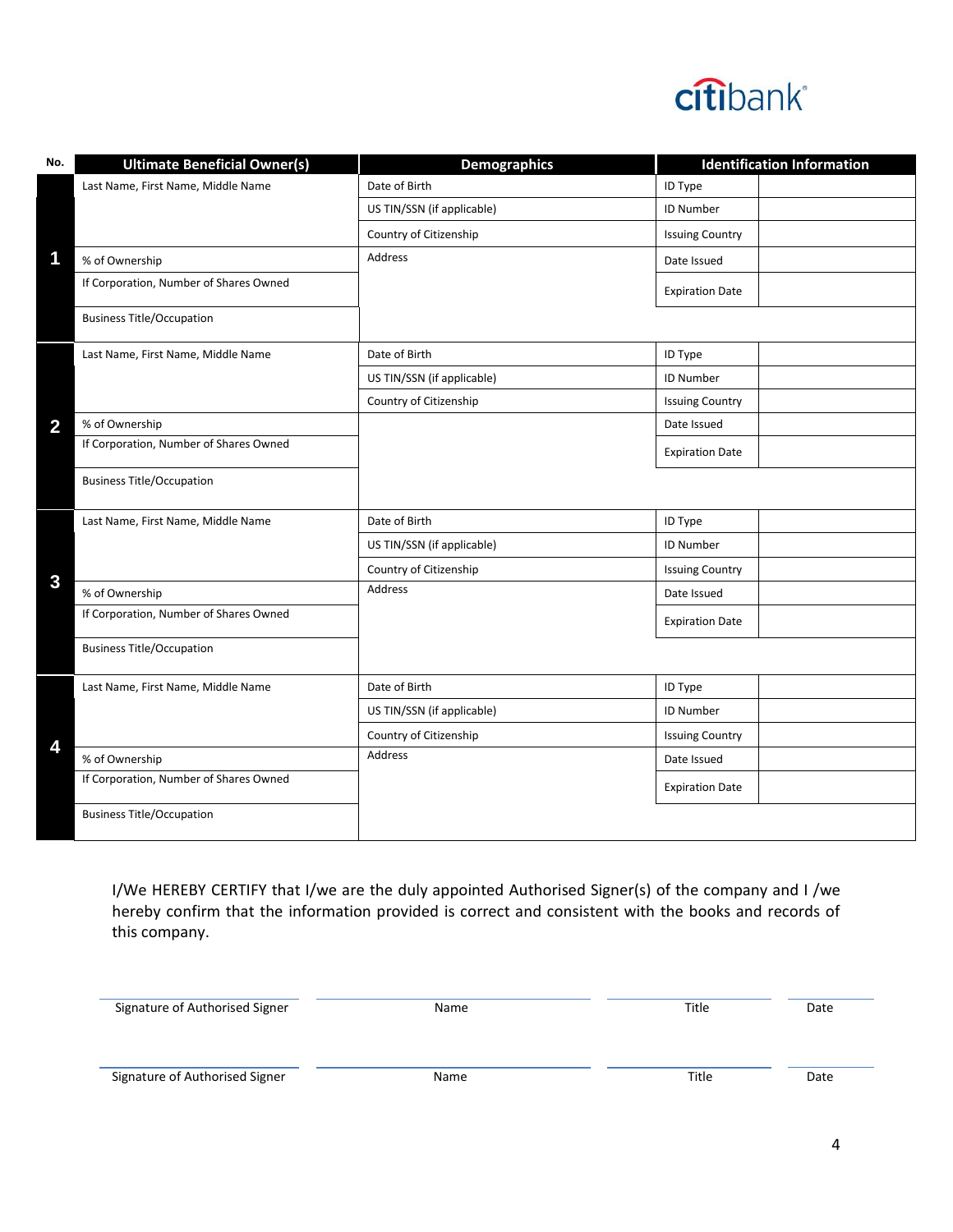

| No.            | <b>Ultimate Beneficial Owner(s)</b>    | <b>Demographics</b>        | <b>Identification Information</b> |
|----------------|----------------------------------------|----------------------------|-----------------------------------|
|                | Last Name, First Name, Middle Name     | Date of Birth              | ID Type                           |
|                |                                        | US TIN/SSN (if applicable) | <b>ID Number</b>                  |
|                |                                        | Country of Citizenship     | <b>Issuing Country</b>            |
| 1              | % of Ownership                         | Address                    | Date Issued                       |
|                | If Corporation, Number of Shares Owned |                            | <b>Expiration Date</b>            |
|                | <b>Business Title/Occupation</b>       |                            |                                   |
|                | Last Name, First Name, Middle Name     | Date of Birth              | ID Type                           |
|                |                                        | US TIN/SSN (if applicable) | ID Number                         |
|                |                                        | Country of Citizenship     | <b>Issuing Country</b>            |
| $\overline{2}$ | % of Ownership                         |                            | Date Issued                       |
|                | If Corporation, Number of Shares Owned |                            | <b>Expiration Date</b>            |
|                | <b>Business Title/Occupation</b>       |                            |                                   |
|                | Last Name, First Name, Middle Name     | Date of Birth              | ID Type                           |
|                |                                        | US TIN/SSN (if applicable) | <b>ID Number</b>                  |
| $\mathbf{3}$   |                                        | Country of Citizenship     | <b>Issuing Country</b>            |
|                | % of Ownership                         | Address                    | Date Issued                       |
|                | If Corporation, Number of Shares Owned |                            | <b>Expiration Date</b>            |
|                | <b>Business Title/Occupation</b>       |                            |                                   |
|                | Last Name, First Name, Middle Name     | Date of Birth              | ID Type                           |
|                |                                        | US TIN/SSN (if applicable) | ID Number                         |
|                |                                        | Country of Citizenship     | <b>Issuing Country</b>            |
| 4              | % of Ownership                         | Address                    | Date Issued                       |
|                | If Corporation, Number of Shares Owned |                            | <b>Expiration Date</b>            |
|                | <b>Business Title/Occupation</b>       |                            |                                   |

I/We HEREBY CERTIFY that I/we are the duly appointed Authorised Signer(s) of the company and I /we hereby confirm that the information provided is correct and consistent with the books and records of this company.

| Signature of Authorised Signer | Name | Title | Date |
|--------------------------------|------|-------|------|
| Signature of Authorised Signer | Name | Title | Date |